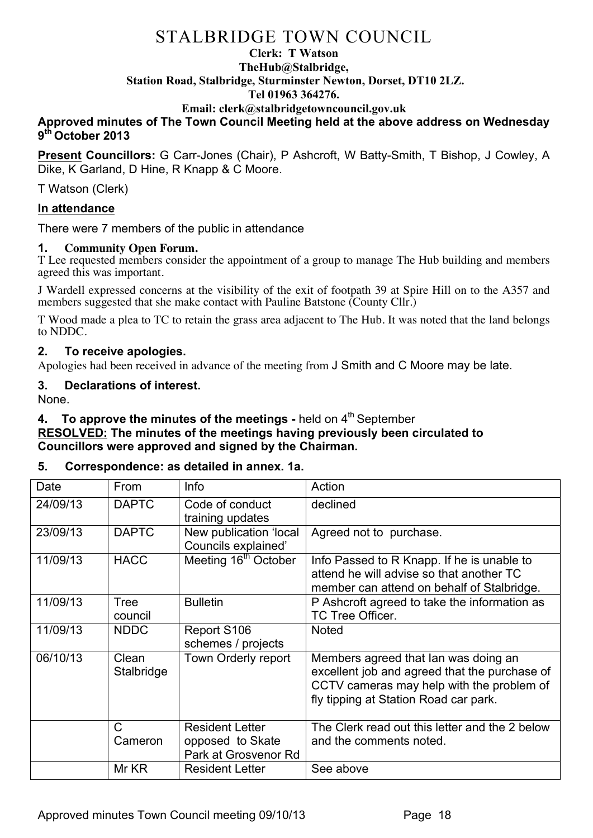## **Clerk: T Watson TheHub@Stalbridge, Station Road, Stalbridge, Sturminster Newton, Dorset, DT10 2LZ. Tel 01963 364276.**

#### **Email: clerk@stalbridgetowncouncil.gov.uk**

### **Approved minutes of The Town Council Meeting held at the above address on Wednesday 9th October 2013**

**Present Councillors:** G Carr-Jones (Chair), P Ashcroft, W Batty-Smith, T Bishop, J Cowley, A Dike, K Garland, D Hine, R Knapp & C Moore.

T Watson (Clerk)

#### **In attendance**

There were 7 members of the public in attendance

#### **1. Community Open Forum.**

T Lee requested members consider the appointment of a group to manage The Hub building and members agreed this was important.

J Wardell expressed concerns at the visibility of the exit of footpath 39 at Spire Hill on to the A357 and members suggested that she make contact with Pauline Batstone (County Cllr.)

T Wood made a plea to TC to retain the grass area adjacent to The Hub. It was noted that the land belongs to NDDC.

#### **2. To receive apologies.**

Apologies had been received in advance of the meeting from J Smith and C Moore may be late.

#### **3. Declarations of interest.**

None.

## **4. To approve the minutes of the meetings -** held on 4<sup>th</sup> September

### **RESOLVED: The minutes of the meetings having previously been circulated to Councillors were approved and signed by the Chairman.**

### **5. Correspondence: as detailed in annex. 1a.**

| Date     | <b>From</b>            | Info                                                               | Action                                                                                                                                                                      |
|----------|------------------------|--------------------------------------------------------------------|-----------------------------------------------------------------------------------------------------------------------------------------------------------------------------|
| 24/09/13 | <b>DAPTC</b>           | Code of conduct<br>training updates                                | declined                                                                                                                                                                    |
| 23/09/13 | <b>DAPTC</b>           | New publication 'local<br>Councils explained'                      | Agreed not to purchase.                                                                                                                                                     |
| 11/09/13 | <b>HACC</b>            | Meeting 16 <sup>th</sup> October                                   | Info Passed to R Knapp. If he is unable to<br>attend he will advise so that another TC<br>member can attend on behalf of Stalbridge.                                        |
| 11/09/13 | <b>Tree</b><br>council | <b>Bulletin</b>                                                    | P Ashcroft agreed to take the information as<br>TC Tree Officer.                                                                                                            |
| 11/09/13 | <b>NDDC</b>            | Report S106<br>schemes / projects                                  | <b>Noted</b>                                                                                                                                                                |
| 06/10/13 | Clean<br>Stalbridge    | Town Orderly report                                                | Members agreed that Ian was doing an<br>excellent job and agreed that the purchase of<br>CCTV cameras may help with the problem of<br>fly tipping at Station Road car park. |
|          | C<br>Cameron           | <b>Resident Letter</b><br>opposed to Skate<br>Park at Grosvenor Rd | The Clerk read out this letter and the 2 below<br>and the comments noted.                                                                                                   |
|          | Mr KR                  | <b>Resident Letter</b>                                             | See above                                                                                                                                                                   |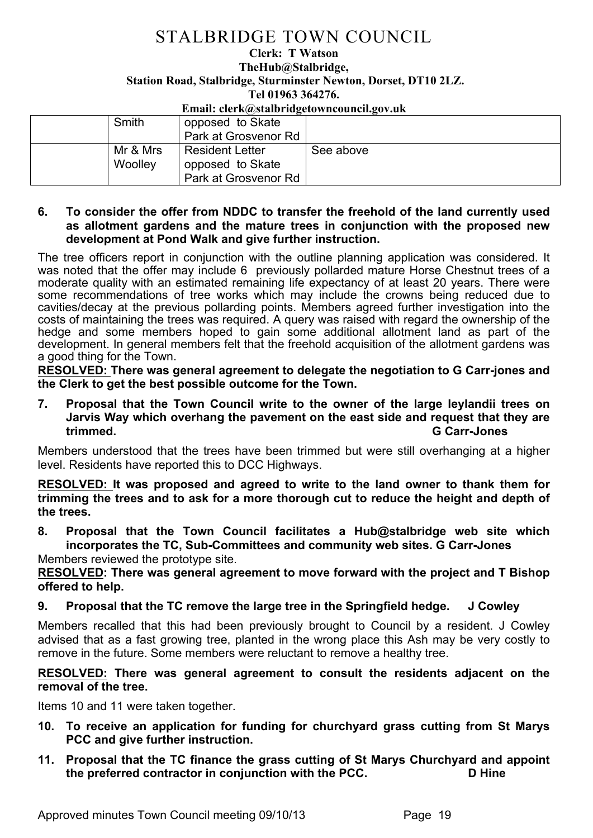**Clerk: T Watson TheHub@Stalbridge, Station Road, Stalbridge, Sturminster Newton, Dorset, DT10 2LZ. Tel 01963 364276.** 

#### **Email: clerk@stalbridgetowncouncil.gov.uk**

| Smith               | opposed to Skate<br>Park at Grosvenor Rd                           |           |
|---------------------|--------------------------------------------------------------------|-----------|
| Mr & Mrs<br>Woolley | <b>Resident Letter</b><br>opposed to Skate<br>Park at Grosvenor Rd | See above |

### **6. To consider the offer from NDDC to transfer the freehold of the land currently used as allotment gardens and the mature trees in conjunction with the proposed new development at Pond Walk and give further instruction.**

The tree officers report in conjunction with the outline planning application was considered. It was noted that the offer may include 6 previously pollarded mature Horse Chestnut trees of a moderate quality with an estimated remaining life expectancy of at least 20 years. There were some recommendations of tree works which may include the crowns being reduced due to cavities/decay at the previous pollarding points. Members agreed further investigation into the costs of maintaining the trees was required. A query was raised with regard the ownership of the hedge and some members hoped to gain some additional allotment land as part of the development. In general members felt that the freehold acquisition of the allotment gardens was a good thing for the Town.

**RESOLVED: There was general agreement to delegate the negotiation to G Carr-jones and the Clerk to get the best possible outcome for the Town.**

**7. Proposal that the Town Council write to the owner of the large leylandii trees on Jarvis Way which overhang the pavement on the east side and request that they are trimmed. G Carr-Jones**

Members understood that the trees have been trimmed but were still overhanging at a higher level. Residents have reported this to DCC Highways.

**RESOLVED: It was proposed and agreed to write to the land owner to thank them for trimming the trees and to ask for a more thorough cut to reduce the height and depth of the trees.**

**8. Proposal that the Town Council facilitates a Hub@stalbridge web site which incorporates the TC, Sub-Committees and community web sites. G Carr-Jones** Members reviewed the prototype site.

**RESOLVED: There was general agreement to move forward with the project and T Bishop offered to help.** 

### **9. Proposal that the TC remove the large tree in the Springfield hedge. J Cowley**

Members recalled that this had been previously brought to Council by a resident. J Cowley advised that as a fast growing tree, planted in the wrong place this Ash may be very costly to remove in the future. Some members were reluctant to remove a healthy tree.

#### **RESOLVED: There was general agreement to consult the residents adjacent on the removal of the tree.**

Items 10 and 11 were taken together.

- **10. To receive an application for funding for churchyard grass cutting from St Marys PCC and give further instruction.**
- **11. Proposal that the TC finance the grass cutting of St Marys Churchyard and appoint the preferred contractor in conjunction with the PCC. D Hine**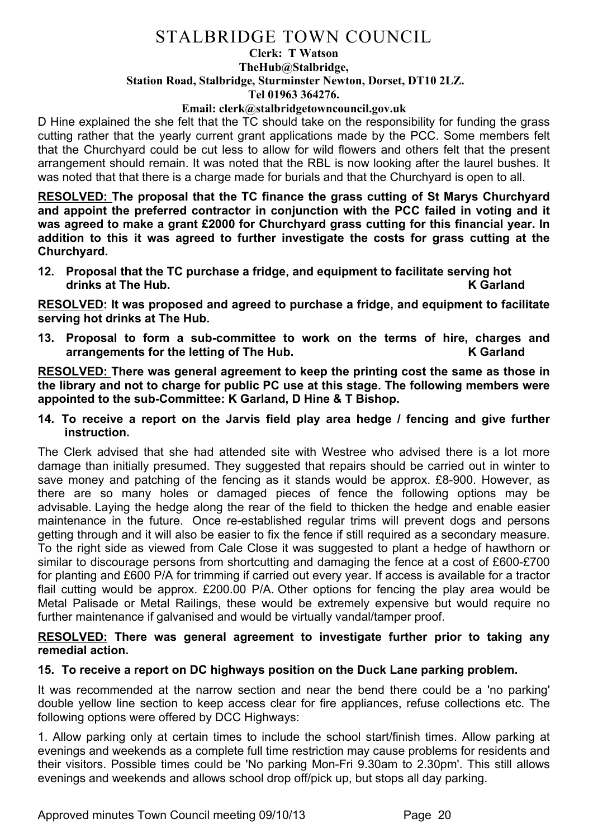#### **Clerk: T Watson TheHub@Stalbridge, Station Road, Stalbridge, Sturminster Newton, Dorset, DT10 2LZ. Tel 01963 364276.**

#### **Email: clerk@stalbridgetowncouncil.gov.uk**

D Hine explained the she felt that the TC should take on the responsibility for funding the grass cutting rather that the yearly current grant applications made by the PCC. Some members felt that the Churchyard could be cut less to allow for wild flowers and others felt that the present arrangement should remain. It was noted that the RBL is now looking after the laurel bushes. It was noted that that there is a charge made for burials and that the Churchyard is open to all.

**RESOLVED: The proposal that the TC finance the grass cutting of St Marys Churchyard and appoint the preferred contractor in conjunction with the PCC failed in voting and it was agreed to make a grant £2000 for Churchyard grass cutting for this financial year. In addition to this it was agreed to further investigate the costs for grass cutting at the Churchyard.**

**12. Proposal that the TC purchase a fridge, and equipment to facilitate serving hot drinks at The Hub. K Garland**

**RESOLVED: It was proposed and agreed to purchase a fridge, and equipment to facilitate serving hot drinks at The Hub.**

**13. Proposal to form a sub-committee to work on the terms of hire, charges and arrangements for the letting of The Hub. K Garland**

**RESOLVED: There was general agreement to keep the printing cost the same as those in the library and not to charge for public PC use at this stage. The following members were appointed to the sub-Committee: K Garland, D Hine & T Bishop.**

**14. To receive a report on the Jarvis field play area hedge / fencing and give further instruction.**

The Clerk advised that she had attended site with Westree who advised there is a lot more damage than initially presumed. They suggested that repairs should be carried out in winter to save money and patching of the fencing as it stands would be approx. £8-900. However, as there are so many holes or damaged pieces of fence the following options may be advisable. Laying the hedge along the rear of the field to thicken the hedge and enable easier maintenance in the future. Once re-established regular trims will prevent dogs and persons getting through and it will also be easier to fix the fence if still required as a secondary measure. To the right side as viewed from Cale Close it was suggested to plant a hedge of hawthorn or similar to discourage persons from shortcutting and damaging the fence at a cost of £600-£700 for planting and £600 P/A for trimming if carried out every year. If access is available for a tractor flail cutting would be approx. £200.00 P/A. Other options for fencing the play area would be Metal Palisade or Metal Railings, these would be extremely expensive but would require no further maintenance if galvanised and would be virtually vandal/tamper proof.

#### **RESOLVED: There was general agreement to investigate further prior to taking any remedial action.**

### **15. To receive a report on DC highways position on the Duck Lane parking problem.**

It was recommended at the narrow section and near the bend there could be a 'no parking' double yellow line section to keep access clear for fire appliances, refuse collections etc. The following options were offered by DCC Highways:

1. Allow parking only at certain times to include the school start/finish times. Allow parking at evenings and weekends as a complete full time restriction may cause problems for residents and their visitors. Possible times could be 'No parking Mon-Fri 9.30am to 2.30pm'. This still allows evenings and weekends and allows school drop off/pick up, but stops all day parking.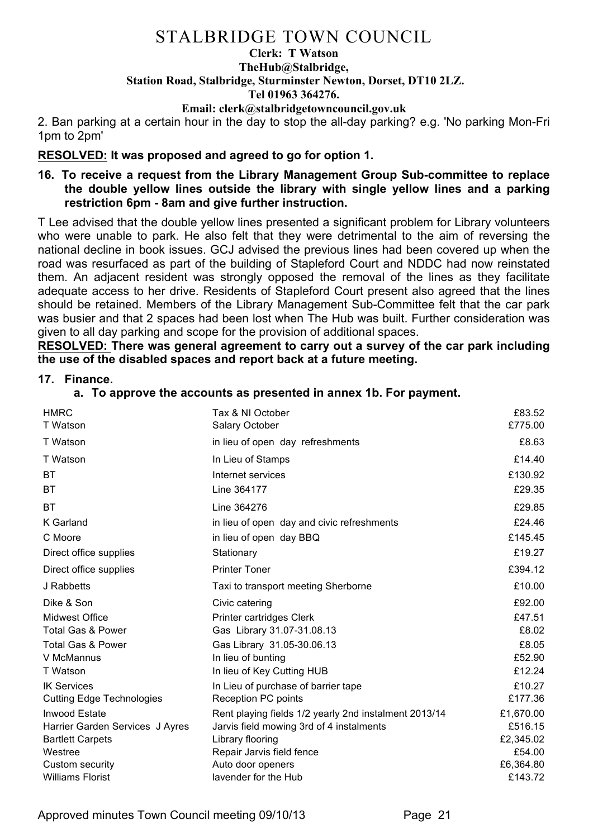## **Clerk: T Watson TheHub@Stalbridge, Station Road, Stalbridge, Sturminster Newton, Dorset, DT10 2LZ. Tel 01963 364276.**

**Email: clerk@stalbridgetowncouncil.gov.uk**

2. Ban parking at a certain hour in the day to stop the all-day parking? e.g. 'No parking Mon-Fri 1pm to 2pm'

## **RESOLVED: It was proposed and agreed to go for option 1.**

**16. To receive a request from the Library Management Group Sub-committee to replace the double yellow lines outside the library with single yellow lines and a parking restriction 6pm - 8am and give further instruction.**

T Lee advised that the double yellow lines presented a significant problem for Library volunteers who were unable to park. He also felt that they were detrimental to the aim of reversing the national decline in book issues. GCJ advised the previous lines had been covered up when the road was resurfaced as part of the building of Stapleford Court and NDDC had now reinstated them. An adjacent resident was strongly opposed the removal of the lines as they facilitate adequate access to her drive. Residents of Stapleford Court present also agreed that the lines should be retained. Members of the Library Management Sub-Committee felt that the car park was busier and that 2 spaces had been lost when The Hub was built. Further consideration was given to all day parking and scope for the provision of additional spaces.

**RESOLVED: There was general agreement to carry out a survey of the car park including the use of the disabled spaces and report back at a future meeting.**

### **17. Finance.**

**a. To approve the accounts as presented in annex 1b. For payment.**

| <b>HMRC</b>                      | Tax & NI October                                      | £83.52    |
|----------------------------------|-------------------------------------------------------|-----------|
| T Watson                         | Salary October                                        | £775.00   |
| T Watson                         | in lieu of open day refreshments                      | £8.63     |
| T Watson                         | In Lieu of Stamps                                     | £14.40    |
| <b>BT</b>                        | Internet services                                     | £130.92   |
| BT                               | Line 364177                                           | £29.35    |
| BT                               | Line 364276                                           | £29.85    |
| K Garland                        | in lieu of open day and civic refreshments            | £24.46    |
| C Moore                          | in lieu of open day BBQ                               | £145.45   |
| Direct office supplies           | Stationary                                            | £19.27    |
| Direct office supplies           | <b>Printer Toner</b>                                  | £394.12   |
| J Rabbetts                       | Taxi to transport meeting Sherborne                   | £10.00    |
| Dike & Son                       | Civic catering                                        | £92.00    |
| Midwest Office                   | Printer cartridges Clerk                              | £47.51    |
| Total Gas & Power                | Gas Library 31.07-31.08.13                            | £8.02     |
| <b>Total Gas &amp; Power</b>     | Gas Library 31.05-30.06.13                            | £8.05     |
| V McMannus                       | In lieu of bunting                                    | £52.90    |
| T Watson                         | In lieu of Key Cutting HUB                            | £12.24    |
| <b>IK Services</b>               | In Lieu of purchase of barrier tape                   | £10.27    |
| <b>Cutting Edge Technologies</b> | <b>Reception PC points</b>                            | £177.36   |
| <b>Inwood Estate</b>             | Rent playing fields 1/2 yearly 2nd instalment 2013/14 | £1,670.00 |
| Harrier Garden Services J Ayres  | Jarvis field mowing 3rd of 4 instalments              | £516.15   |
| <b>Bartlett Carpets</b>          | Library flooring                                      | £2,345.02 |
| Westree                          | Repair Jarvis field fence                             | £54.00    |
| Custom security                  | Auto door openers                                     | £6,364.80 |
| <b>Williams Florist</b>          | lavender for the Hub                                  | £143.72   |

Approved minutes Town Council meeting 09/10/13 Page 21